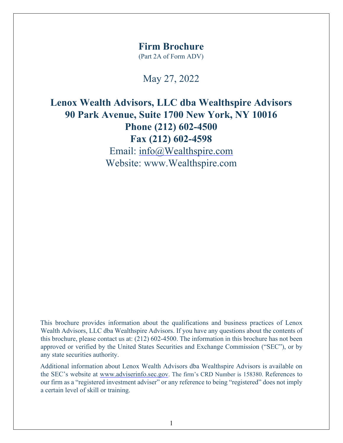### **Firm Brochure**

(Part 2A of Form ADV)

May 27, 2022

**Lenox Wealth Advisors, LLC dba Wealthspire Advisors 90 Park Avenue, Suite 1700 New York, NY 10016 Phone (212) 602-4500 Fax (212) 602-4598**  Email: info@Wealthspire.com Website: www.Wealthspire.com

This brochure provides information about the qualifications and business practices of Lenox Wealth Advisors, LLC dba Wealthspire Advisors. If you have any questions about the contents of this brochure, please contact us at: (212) 602-4500. The information in this brochure has not been approved or verified by the United States Securities and Exchange Commission ("SEC"), or by any state securities authority.

Additional information about Lenox Wealth Advisors dba Wealthspire Advisors is available on the SEC's website a[t](http://www.adviserinfo.sec.gov/) [www.adviserinfo.sec.gov.](http://www.adviserinfo.sec.gov/) The firm's CRD Number is 158380. References to our firm as a "registered investment adviser" or any reference to being "registered" does not imply a certain level of skill or training.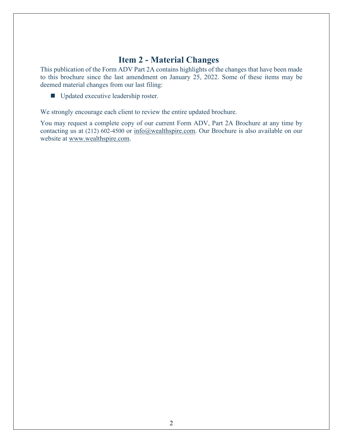# **Item 2 - Material Changes**

<span id="page-1-0"></span>This publication of the Form ADV Part 2A contains highlights of the changes that have been made to this brochure since the last amendment on January 25, 2022. Some of these items may be deemed material changes from our last filing:

■ Updated executive leadership roster.

We strongly encourage each client to review the entire updated brochure.

You may request a complete copy of our current Form ADV, Part 2A Brochure at any time by contacting us at (212) 602-4500 or  $\frac{info(\hat{Q})$ wealthspire.com. Our Brochure is also available on our website at [www.wealthspire.com.](http://www.wealthspire.com/)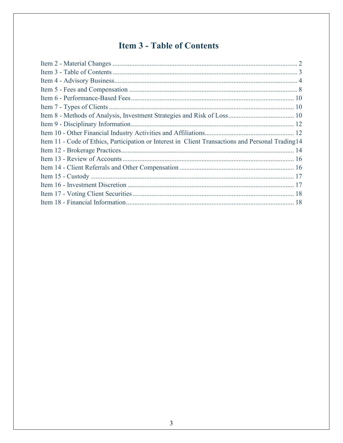# <span id="page-2-0"></span>**Item 3 - Table of Contents**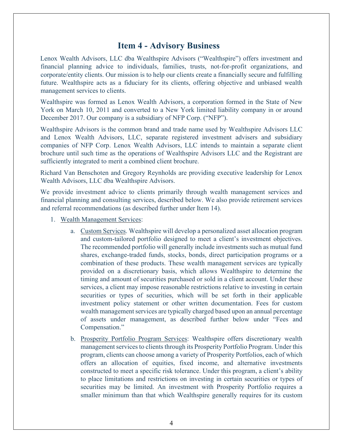## **Item 4 - Advisory Business**

<span id="page-3-0"></span>Lenox Wealth Advisors, LLC dba Wealthspire Advisors ("Wealthspire") offers investment and financial planning advice to individuals, families, trusts, not-for-profit organizations, and corporate/entity clients. Our mission is to help our clients create a financially secure and fulfilling future. Wealthspire acts as a fiduciary for its clients, offering objective and unbiased wealth management services to clients.

Wealthspire was formed as Lenox Wealth Advisors, a corporation formed in the State of New York on March 10, 2011 and converted to a New York limited liability company in or around December 2017. Our company is a subsidiary of NFP Corp. ("NFP").

Wealthspire Advisors is the common brand and trade name used by Wealthspire Advisors LLC and Lenox Wealth Advisors, LLC, separate registered investment advisers and subsidiary companies of NFP Corp. Lenox Wealth Advisors, LLC intends to maintain a separate client brochure until such time as the operations of Wealthspire Advisors LLC and the Registrant are sufficiently integrated to merit a combined client brochure.

Richard Van Benschoten and Gregory Reynholds are providing executive leadership for Lenox Wealth Advisors, LLC dba Wealthspire Advisors.

We provide investment advice to clients primarily through wealth management services and financial planning and consulting services, described below. We also provide retirement services and referral recommendations (as described further under Item 14).

- 1. Wealth Management Services:
	- a. Custom Services. Wealthspire will develop a personalized asset allocation program and custom-tailored portfolio designed to meet a client's investment objectives. The recommended portfolio will generally include investments such as mutual fund shares, exchange-traded funds, stocks, bonds, direct participation programs or a combination of these products. These wealth management services are typically provided on a discretionary basis, which allows Wealthspire to determine the timing and amount of securities purchased or sold in a client account. Under these services, a client may impose reasonable restrictions relative to investing in certain securities or types of securities, which will be set forth in their applicable investment policy statement or other written documentation. Fees for custom wealth management services are typically charged based upon an annual percentage of assets under management, as described further below under "Fees and Compensation."
	- b. Prosperity Portfolio Program Services: Wealthspire offers discretionary wealth management services to clients through its Prosperity Portfolio Program. Under this program, clients can choose among a variety of Prosperity Portfolios, each of which offers an allocation of equities, fixed income, and alternative investments constructed to meet a specific risk tolerance. Under this program, a client's ability to place limitations and restrictions on investing in certain securities or types of securities may be limited. An investment with Prosperity Portfolio requires a smaller minimum than that which Wealthspire generally requires for its custom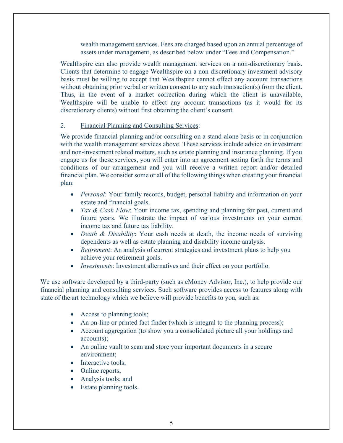wealth management services. Fees are charged based upon an annual percentage of assets under management, as described below under "Fees and Compensation."

Wealthspire can also provide wealth management services on a non-discretionary basis. Clients that determine to engage Wealthspire on a non-discretionary investment advisory basis must be willing to accept that Wealthspire cannot effect any account transactions without obtaining prior verbal or written consent to any such transaction(s) from the client. Thus, in the event of a market correction during which the client is unavailable, Wealthspire will be unable to effect any account transactions (as it would for its discretionary clients) without first obtaining the client's consent.

#### 2. Financial Planning and Consulting Services:

We provide financial planning and/or consulting on a stand-alone basis or in conjunction with the wealth management services above. These services include advice on investment and non-investment related matters, such as estate planning and insurance planning. If you engage us for these services, you will enter into an agreement setting forth the terms and conditions of our arrangement and you will receive a written report and/or detailed financial plan. We consider some or all of the following things when creating your financial plan:

- *Personal:* Your family records, budget, personal liability and information on your estate and financial goals.
- *Tax & Cash Flow*: Your income tax, spending and planning for past, current and future years. We illustrate the impact of various investments on your current income tax and future tax liability.
- *Death & Disability*: Your cash needs at death, the income needs of surviving dependents as well as estate planning and disability income analysis.
- *Retirement*: An analysis of current strategies and investment plans to help you achieve your retirement goals.
- *Investments*: Investment alternatives and their effect on your portfolio.

We use software developed by a third-party (such as eMoney Advisor, Inc.), to help provide our financial planning and consulting services. Such software provides access to features along with state of the art technology which we believe will provide benefits to you, such as:

- Access to planning tools;
- An on-line or printed fact finder (which is integral to the planning process);
- Account aggregation (to show you a consolidated picture all your holdings and accounts);
- An online vault to scan and store your important documents in a secure environment;
- Interactive tools;
- Online reports;
- Analysis tools; and
- Estate planning tools.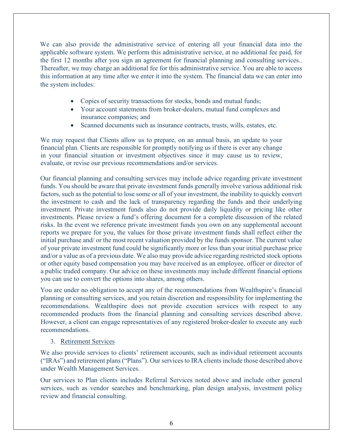We can also provide the administrative service of entering all your financial data into the applicable software system. We perform this administrative service, at no additional fee paid, for the first 12 months after you sign an agreement for financial planning and consulting services.. Thereafter, we may charge an additional fee for this administrative service. You are able to access this information at any time after we enter it into the system. The financial data we can enter into the system includes:

- Copies of security transactions for stocks, bonds and mutual funds;
- Your account statements from broker-dealers, mutual fund complexes and insurance companies; and
- Scanned documents such as insurance contracts, trusts, wills, estates, etc.

We may request that Clients allow us to prepare, on an annual basis, an update to your financial plan. Clients are responsible for promptly notifying us if there is ever any change in your financial situation or investment objectives since it may cause us to review, evaluate, or revise our previous recommendations and/or services.

Our financial planning and consulting services may include advice regarding private investment funds. You should be aware that private investment funds generally involve various additional risk factors, such as the potential to lose some or all of your investment, the inability to quickly convert the investment to cash and the lack of transparency regarding the funds and their underlying investment. Private investment funds also do not provide daily liquidity or pricing like other investments. Please review a fund's offering document for a complete discussion of the related risks. In the event we reference private investment funds you own on any supplemental account reports we prepare for you, the values for those private investment funds shall reflect either the initial purchase and/ or the most recent valuation provided by the funds sponsor. The current value of your private investment fund could be significantly more or less than your initial purchase price and/or a value as of a previous date. We also may provide advice regarding restricted stock options or other equity based compensation you may have received as an employee, officer or director of a public traded company. Our advice on these investments may include different financial options you can use to convert the options into shares, among others.

You are under no obligation to accept any of the recommendations from Wealthspire's financial planning or consulting services, and you retain discretion and responsibility for implementing the recommendations. Wealthspire does not provide execution services with respect to any recommended products from the financial planning and consulting services described above. However, a client can engage representatives of any registered broker-dealer to execute any such recommendations.

#### 3. Retirement Services

We also provide services to clients' retirement accounts, such as individual retirement accounts ("IRAs") and retirement plans ("Plans"). Our services to IRA clients include those described above under Wealth Management Services.

Our services to Plan clients includes Referral Services noted above and include other general services, such as vendor searches and benchmarking, plan design analysis, investment policy review and financial consulting.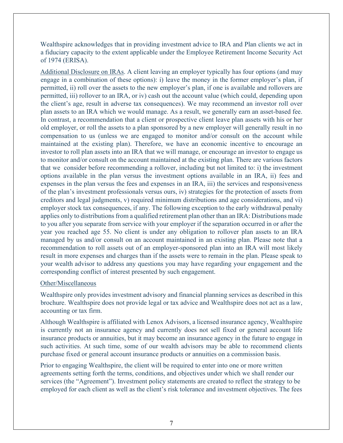Wealthspire acknowledges that in providing investment advice to IRA and Plan clients we act in a fiduciary capacity to the extent applicable under the Employee Retirement Income Security Act of 1974 (ERISA).

Additional Disclosure on IRAs. A client leaving an employer typically has four options (and may engage in a combination of these options): i) leave the money in the former employer's plan, if permitted, ii) roll over the assets to the new employer's plan, if one is available and rollovers are permitted, iii) rollover to an IRA, or iv) cash out the account value (which could, depending upon the client's age, result in adverse tax consequences). We may recommend an investor roll over plan assets to an IRA which we would manage. As a result, we generally earn an asset-based fee. In contrast, a recommendation that a client or prospective client leave plan assets with his or her old employer, or roll the assets to a plan sponsored by a new employer will generally result in no compensation to us (unless we are engaged to monitor and/or consult on the account while maintained at the existing plan). Therefore, we have an economic incentive to encourage an investor to roll plan assets into an IRA that we will manage, or encourage an investor to engage us to monitor and/or consult on the account maintained at the existing plan. There are various factors that we consider before recommending a rollover, including but not limited to: i) the investment options available in the plan versus the investment options available in an IRA, ii) fees and expenses in the plan versus the fees and expenses in an IRA, iii) the services and responsiveness of the plan's investment professionals versus ours, iv) strategies for the protection of assets from creditors and legal judgments, v) required minimum distributions and age considerations, and vi) employer stock tax consequences, if any. The following exception to the early withdrawal penalty applies only to distributions from a qualified retirement plan other than an IRA: Distributions made to you after you separate from service with your employer if the separation occurred in or after the year you reached age 55. No client is under any obligation to rollover plan assets to an IRA managed by us and/or consult on an account maintained in an existing plan. Please note that a recommendation to roll assets out of an employer-sponsored plan into an IRA will most likely result in more expenses and charges than if the assets were to remain in the plan. Please speak to your wealth advisor to address any questions you may have regarding your engagement and the corresponding conflict of interest presented by such engagement.

#### Other/Miscellaneous

Wealthspire only provides investment advisory and financial planning services as described in this brochure. Wealthspire does not provide legal or tax advice and Wealthspire does not act as a law, accounting or tax firm.

Although Wealthspire is affiliated with Lenox Advisors, a licensed insurance agency, Wealthspire is currently not an insurance agency and currently does not sell fixed or general account life insurance products or annuities, but it may become an insurance agency in the future to engage in such activities. At such time, some of our wealth advisors may be able to recommend clients purchase fixed or general account insurance products or annuities on a commission basis.

Prior to engaging Wealthspire, the client will be required to enter into one or more written agreements setting forth the terms, conditions, and objectives under which we shall render our services (the "Agreement"). Investment policy statements are created to reflect the strategy to be employed for each client as well as the client's risk tolerance and investment objectives. The fees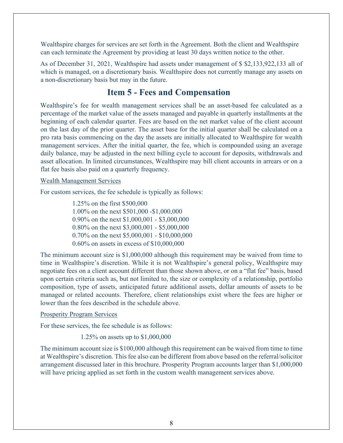Wealthspire charges for services are set forth in the Agreement. Both the client and Wealthspire can each terminate the Agreement by providing at least 30 days written notice to the other.

As of December 31, 2021, Wealthspire had assets under management of \$ \$2,133,922,133 all of which is managed, on a discretionary basis. Wealthspire does not currently manage any assets on a non-discretionary basis but may in the future.

### **Item 5 - Fees and Compensation**

<span id="page-7-0"></span>Wealthspire's fee for wealth management services shall be an asset-based fee calculated as a percentage of the market value of the assets managed and payable in quarterly installments at the beginning of each calendar quarter. Fees are based on the net market value of the client account on the last day of the prior quarter. The asset base for the initial quarter shall be calculated on a pro rata basis commencing on the day the assets are initially allocated to Wealthspire for wealth management services. After the initial quarter, the fee, which is compounded using an average daily balance, may be adjusted in the next billing cycle to account for deposits, withdrawals and asset allocation. In limited circumstances, Wealthspire may bill client accounts in arrears or on a flat fee basis also paid on a quarterly frequency.

#### Wealth Management Services

For custom services, the fee schedule is typically as follows:

1.25% on the first \$500,000 1.00% on the next \$501,000 -\$1,000,000 0.90% on the next \$1,000,001 - \$3,000,000 0.80% on the next \$3,000,001 - \$5,000,000 0.70% on the next \$5,000,001 - \$10,000,000 0.60% on assets in excess of \$10,000,000

The minimum account size is \$1,000,000 although this requirement may be waived from time to time in Wealthspire's discretion. While it is not Wealthspire's general policy, Wealthspire may negotiate fees on a client account different than those shown above, or on a "flat fee" basis, based upon certain criteria such as, but not limited to, the size or complexity of a relationship, portfolio composition, type of assets, anticipated future additional assets, dollar amounts of assets to be managed or related accounts. Therefore, client relationships exist where the fees are higher or lower than the fees described in the schedule above.

#### Prosperity Program Services

For these services, the fee schedule is as follows:

1.25% on assets up to \$1,000,000

The minimum account size is \$100,000 although this requirement can be waived from time to time at Wealthspire's discretion. This fee also can be different from above based on the referral/solicitor arrangement discussed later in this brochure. Prosperity Program accounts larger than \$1,000,000 will have pricing applied as set forth in the custom wealth management services above.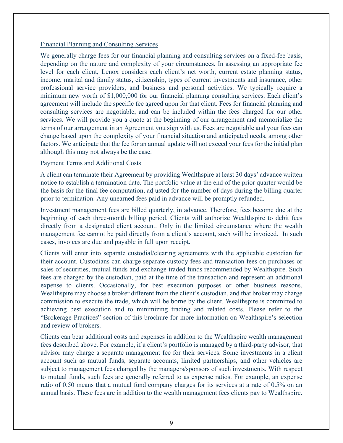#### Financial Planning and Consulting Services

We generally charge fees for our financial planning and consulting services on a fixed-fee basis, depending on the nature and complexity of your circumstances. In assessing an appropriate fee level for each client, Lenox considers each client's net worth, current estate planning status, income, marital and family status, citizenship, types of current investments and insurance, other professional service providers, and business and personal activities. We typically require a minimum new worth of \$1,000,000 for our financial planning consulting services. Each client's agreement will include the specific fee agreed upon for that client. Fees for financial planning and consulting services are negotiable, and can be included within the fees charged for our other services. We will provide you a quote at the beginning of our arrangement and memorialize the terms of our arrangement in an Agreement you sign with us. Fees are negotiable and your fees can change based upon the complexity of your financial situation and anticipated needs, among other factors. We anticipate that the fee for an annual update will not exceed your fees for the initial plan although this may not always be the case.

### Payment Terms and Additional Costs

A client can terminate their Agreement by providing Wealthspire at least 30 days' advance written notice to establish a termination date. The portfolio value at the end of the prior quarter would be the basis for the final fee computation, adjusted for the number of days during the billing quarter prior to termination. Any unearned fees paid in advance will be promptly refunded.

Investment management fees are billed quarterly, in advance. Therefore, fees become due at the beginning of each three-month billing period. Clients will authorize Wealthspire to debit fees directly from a designated client account. Only in the limited circumstance where the wealth management fee cannot be paid directly from a client's account, such will be invoiced. In such cases, invoices are due and payable in full upon receipt.

Clients will enter into separate custodial/clearing agreements with the applicable custodian for their account. Custodians can charge separate custody fees and transaction fees on purchases or sales of securities, mutual funds and exchange-traded funds recommended by Wealthspire. Such fees are charged by the custodian, paid at the time of the transaction and represent an additional expense to clients. Occasionally, for best execution purposes or other business reasons, Wealthspire may choose a broker different from the client's custodian, and that broker may charge commission to execute the trade, which will be borne by the client. Wealthspire is committed to achieving best execution and to minimizing trading and related costs. Please refer to the "Brokerage Practices" section of this brochure for more information on Wealthspire's selection and review of brokers.

Clients can bear additional costs and expenses in addition to the Wealthspire wealth management fees described above. For example, if a client's portfolio is managed by a third-party advisor, that advisor may charge a separate management fee for their services. Some investments in a client account such as mutual funds, separate accounts, limited partnerships, and other vehicles are subject to management fees charged by the managers/sponsors of such investments. With respect to mutual funds, such fees are generally referred to as expense ratios. For example, an expense ratio of 0.50 means that a mutual fund company charges for its services at a rate of 0.5% on an annual basis. These fees are in addition to the wealth management fees clients pay to Wealthspire.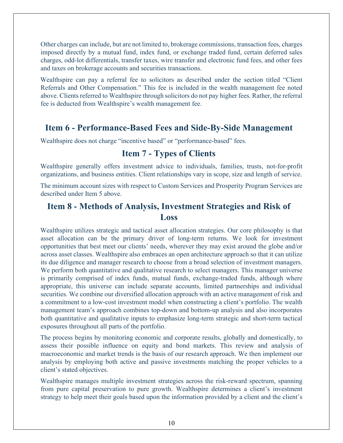Other charges can include, but are not limited to, brokerage commissions, transaction fees, charges imposed directly by a mutual fund, index fund, or exchange traded fund, certain deferred sales charges, odd-lot differentials, transfer taxes, wire transfer and electronic fund fees, and other fees and taxes on brokerage accounts and securities transactions.

Wealthspire can pay a referral fee to solicitors as described under the section titled "Client Referrals and Other Compensation." This fee is included in the wealth management fee noted above. Clients referred to Wealthspire through solicitors do not pay higher fees. Rather, the referral fee is deducted from Wealthspire's wealth management fee.

### <span id="page-9-0"></span>**Item 6 - Performance-Based Fees and Side-By-Side Management**

<span id="page-9-1"></span>Wealthspire does not charge "incentive based" or "performance-based" fees.

### **Item 7 - Types of Clients**

Wealthspire generally offers investment advice to individuals, families, trusts, not-for-profit organizations, and business entities. Client relationships vary in scope, size and length of service.

The minimum account sizes with respect to Custom Services and Prosperity Program Services are described under Item 5 above.

## <span id="page-9-2"></span>**Item 8 - Methods of Analysis, Investment Strategies and Risk of Loss**

Wealthspire utilizes strategic and tactical asset allocation strategies. Our core philosophy is that asset allocation can be the primary driver of long-term returns. We look for investment opportunities that best meet our clients' needs, wherever they may exist around the globe and/or across asset classes. Wealthspire also embraces an open architecture approach so that it can utilize its due diligence and manager research to choose from a broad selection of investment managers. We perform both quantitative and qualitative research to select managers. This manager universe is primarily comprised of index funds, mutual funds, exchange-traded funds, although where appropriate, this universe can include separate accounts, limited partnerships and individual securities. We combine our diversified allocation approach with an active management of risk and a commitment to a low-cost investment model when constructing a client's portfolio. The wealth management team's approach combines top-down and bottom-up analysis and also incorporates both quantitative and qualitative inputs to emphasize long-term strategic and short-term tactical exposures throughout all parts of the portfolio.

The process begins by monitoring economic and corporate results, globally and domestically, to assess their possible influence on equity and bond markets. This review and analysis of macroeconomic and market trends is the basis of our research approach. We then implement our analysis by employing both active and passive investments matching the proper vehicles to a client's stated objectives.

Wealthspire manages multiple investment strategies across the risk-reward spectrum, spanning from pure capital preservation to pure growth. Wealthspire determines a client's investment strategy to help meet their goals based upon the information provided by a client and the client's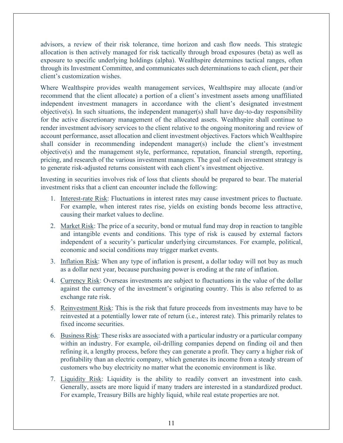advisors, a review of their risk tolerance, time horizon and cash flow needs. This strategic allocation is then actively managed for risk tactically through broad exposures (beta) as well as exposure to specific underlying holdings (alpha). Wealthspire determines tactical ranges, often through its Investment Committee, and communicates such determinations to each client, per their client's customization wishes.

Where Wealthspire provides wealth management services, Wealthspire may allocate (and/or recommend that the client allocate) a portion of a client's investment assets among unaffiliated independent investment managers in accordance with the client's designated investment objective(s). In such situations, the independent manager(s) shall have day-to-day responsibility for the active discretionary management of the allocated assets. Wealthspire shall continue to render investment advisory services to the client relative to the ongoing monitoring and review of account performance, asset allocation and client investment objectives. Factors which Wealthspire shall consider in recommending independent manager(s) include the client's investment objective(s) and the management style, performance, reputation, financial strength, reporting, pricing, and research of the various investment managers. The goal of each investment strategy is to generate risk-adjusted returns consistent with each client's investment objective.

Investing in securities involves risk of loss that clients should be prepared to bear. The material investment risks that a client can encounter include the following:

- 1. Interest-rate Risk: Fluctuations in interest rates may cause investment prices to fluctuate. For example, when interest rates rise, yields on existing bonds become less attractive, causing their market values to decline.
- 2. Market Risk: The price of a security, bond or mutual fund may drop in reaction to tangible and intangible events and conditions. This type of risk is caused by external factors independent of a security's particular underlying circumstances. For example, political, economic and social conditions may trigger market events.
- 3. Inflation Risk: When any type of inflation is present, a dollar today will not buy as much as a dollar next year, because purchasing power is eroding at the rate of inflation.
- 4. Currency Risk: Overseas investments are subject to fluctuations in the value of the dollar against the currency of the investment's originating country. This is also referred to as exchange rate risk.
- 5. Reinvestment Risk: This is the risk that future proceeds from investments may have to be reinvested at a potentially lower rate of return (i.e., interest rate). This primarily relates to fixed income securities.
- 6. Business Risk: These risks are associated with a particular industry or a particular company within an industry. For example, oil-drilling companies depend on finding oil and then refining it, a lengthy process, before they can generate a profit. They carry a higher risk of profitability than an electric company, which generates its income from a steady stream of customers who buy electricity no matter what the economic environment is like.
- 7. Liquidity Risk: Liquidity is the ability to readily convert an investment into cash. Generally, assets are more liquid if many traders are interested in a standardized product. For example, Treasury Bills are highly liquid, while real estate properties are not.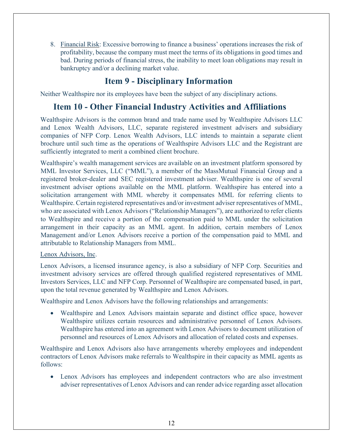8. Financial Risk: Excessive borrowing to finance a business' operations increases the risk of profitability, because the company must meet the terms of its obligations in good times and bad. During periods of financial stress, the inability to meet loan obligations may result in bankruptcy and/or a declining market value.

# **Item 9 - Disciplinary Information**

<span id="page-11-0"></span>Neither Wealthspire nor its employees have been the subject of any disciplinary actions.

## <span id="page-11-1"></span>**Item 10 - Other Financial Industry Activities and Affiliations**

Wealthspire Advisors is the common brand and trade name used by Wealthspire Advisors LLC and Lenox Wealth Advisors, LLC, separate registered investment advisers and subsidiary companies of NFP Corp. Lenox Wealth Advisors, LLC intends to maintain a separate client brochure until such time as the operations of Wealthspire Advisors LLC and the Registrant are sufficiently integrated to merit a combined client brochure.

Wealthspire's wealth management services are available on an investment platform sponsored by MML Investor Services, LLC ("MML"), a member of the MassMutual Financial Group and a registered broker-dealer and SEC registered investment adviser. Wealthspire is one of several investment adviser options available on the MML platform. Wealthspire has entered into a solicitation arrangement with MML whereby it compensates MML for referring clients to Wealthspire. Certain registered representatives and/or investment adviser representatives of MML, who are associated with Lenox Advisors ("Relationship Managers"), are authorized to refer clients to Wealthspire and receive a portion of the compensation paid to MML under the solicitation arrangement in their capacity as an MML agent. In addition, certain members of Lenox Management and/or Lenox Advisors receive a portion of the compensation paid to MML and attributable to Relationship Managers from MML.

### Lenox Advisors, Inc.

Lenox Advisors, a licensed insurance agency, is also a subsidiary of NFP Corp. Securities and investment advisory services are offered through qualified registered representatives of MML Investors Services, LLC and NFP Corp. Personnel of Wealthspire are compensated based, in part, upon the total revenue generated by Wealthspire and Lenox Advisors.

Wealthspire and Lenox Advisors have the following relationships and arrangements:

• Wealthspire and Lenox Advisors maintain separate and distinct office space, however Wealthspire utilizes certain resources and administrative personnel of Lenox Advisors. Wealthspire has entered into an agreement with Lenox Advisors to document utilization of personnel and resources of Lenox Advisors and allocation of related costs and expenses.

Wealthspire and Lenox Advisors also have arrangements whereby employees and independent contractors of Lenox Advisors make referrals to Wealthspire in their capacity as MML agents as follows:

• Lenox Advisors has employees and independent contractors who are also investment adviser representatives of Lenox Advisors and can render advice regarding asset allocation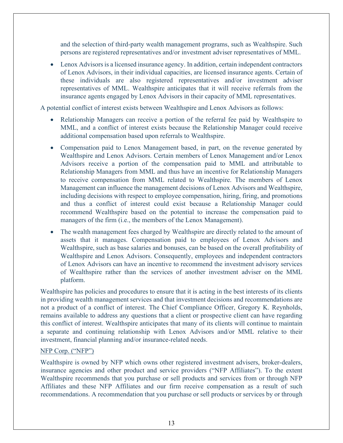and the selection of third-party wealth management programs, such as Wealthspire. Such persons are registered representatives and/or investment adviser representatives of MML.

• Lenox Advisors is a licensed insurance agency. In addition, certain independent contractors of Lenox Advisors, in their individual capacities, are licensed insurance agents. Certain of these individuals are also registered representatives and/or investment adviser representatives of MML. Wealthspire anticipates that it will receive referrals from the insurance agents engaged by Lenox Advisors in their capacity of MML representatives.

A potential conflict of interest exists between Wealthspire and Lenox Advisors as follows:

- Relationship Managers can receive a portion of the referral fee paid by Wealthspire to MML, and a conflict of interest exists because the Relationship Manager could receive additional compensation based upon referrals to Wealthspire.
- Compensation paid to Lenox Management based, in part, on the revenue generated by Wealthspire and Lenox Advisors. Certain members of Lenox Management and/or Lenox Advisors receive a portion of the compensation paid to MML and attributable to Relationship Managers from MML and thus have an incentive for Relationship Managers to receive compensation from MML related to Wealthspire. The members of Lenox Management can influence the management decisions of Lenox Advisors and Wealthspire, including decisions with respect to employee compensation, hiring, firing, and promotions and thus a conflict of interest could exist because a Relationship Manager could recommend Wealthspire based on the potential to increase the compensation paid to managers of the firm (i.e., the members of the Lenox Management).
- The wealth management fees charged by Wealthspire are directly related to the amount of assets that it manages. Compensation paid to employees of Lenox Advisors and Wealthspire, such as base salaries and bonuses, can be based on the overall profitability of Wealthspire and Lenox Advisors. Consequently, employees and independent contractors of Lenox Advisors can have an incentive to recommend the investment advisory services of Wealthspire rather than the services of another investment adviser on the MML platform.

Wealthspire has policies and procedures to ensure that it is acting in the best interests of its clients in providing wealth management services and that investment decisions and recommendations are not a product of a conflict of interest. The Chief Compliance Officer, Gregory K. Reynholds, remains available to address any questions that a client or prospective client can have regarding this conflict of interest. Wealthspire anticipates that many of its clients will continue to maintain a separate and continuing relationship with Lenox Advisors and/or MML relative to their investment, financial planning and/or insurance-related needs.

#### NFP Corp. ("NFP")

Wealthspire is owned by NFP which owns other registered investment advisers, broker-dealers, insurance agencies and other product and service providers ("NFP Affiliates"). To the extent Wealthspire recommends that you purchase or sell products and services from or through NFP Affiliates and these NFP Affiliates and our firm receive compensation as a result of such recommendations. A recommendation that you purchase or sell products or services by or through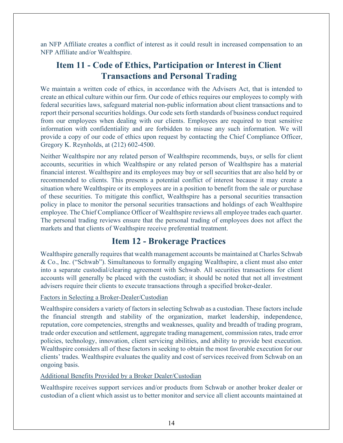an NFP Affiliate creates a conflict of interest as it could result in increased compensation to an NFP Affiliate and/or Wealthspire.

# <span id="page-13-0"></span>**Item 11 - Code of Ethics, Participation or Interest in Client Transactions and Personal Trading**

We maintain a written code of ethics, in accordance with the Advisers Act, that is intended to create an ethical culture within our firm. Our code of ethics requires our employees to comply with federal securities laws, safeguard material non-public information about client transactions and to report their personal securities holdings. Our code sets forth standards of business conduct required from our employees when dealing with our clients. Employees are required to treat sensitive information with confidentiality and are forbidden to misuse any such information. We will provide a copy of our code of ethics upon request by contacting the Chief Compliance Officer, Gregory K. Reynholds, at (212) 602-4500.

Neither Wealthspire nor any related person of Wealthspire recommends, buys, or sells for client accounts, securities in which Wealthspire or any related person of Wealthspire has a material financial interest. Wealthspire and its employees may buy or sell securities that are also held by or recommended to clients. This presents a potential conflict of interest because it may create a situation where Wealthspire or its employees are in a position to benefit from the sale or purchase of these securities. To mitigate this conflict, Wealthspire has a personal securities transaction policy in place to monitor the personal securities transactions and holdings of each Wealthspire employee. The Chief Compliance Officer of Wealthspire reviews all employee trades each quarter. The personal trading reviews ensure that the personal trading of employees does not affect the markets and that clients of Wealthspire receive preferential treatment.

## **Item 12 - Brokerage Practices**

<span id="page-13-1"></span>Wealthspire generally requires that wealth management accounts be maintained at Charles Schwab & Co., Inc. ("Schwab"). Simultaneous to formally engaging Wealthspire, a client must also enter into a separate custodial/clearing agreement with Schwab. All securities transactions for client accounts will generally be placed with the custodian; it should be noted that not all investment advisers require their clients to execute transactions through a specified broker-dealer.

### Factors in Selecting a Broker-Dealer/Custodian

Wealthspire considers a variety of factors in selecting Schwab as a custodian. These factors include the financial strength and stability of the organization, market leadership, independence, reputation, core competencies, strengths and weaknesses, quality and breadth of trading program, trade order execution and settlement, aggregate trading management, commission rates, trade error policies, technology, innovation, client servicing abilities, and ability to provide best execution. Wealthspire considers all of these factors in seeking to obtain the most favorable execution for our clients' trades. Wealthspire evaluates the quality and cost of services received from Schwab on an ongoing basis.

### Additional Benefits Provided by a Broker Dealer/Custodian

Wealthspire receives support services and/or products from Schwab or another broker dealer or custodian of a client which assist us to better monitor and service all client accounts maintained at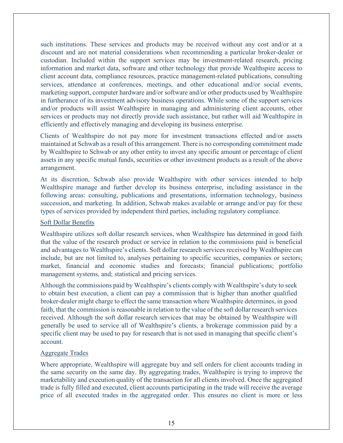such institutions. These services and products may be received without any cost and/or at a discount and are not material considerations when recommending a particular broker-dealer or custodian. Included within the support services may be investment-related research, pricing information and market data, software and other technology that provide Wealthspire access to client account data, compliance resources, practice management-related publications, consulting services, attendance at conferences, meetings, and other educational and/or social events, marketing support, computer hardware and/or software and/or other products used by Wealthspire in furtherance of its investment advisory business operations. While some of the support services and/or products will assist Wealthspire in managing and administering client accounts, other services or products may not directly provide such assistance, but rather will aid Wealthspire in efficiently and effectively managing and developing its business enterprise.

Clients of Wealthspire do not pay more for investment transactions effected and/or assets maintained at Schwab as a result of this arrangement. There is no corresponding commitment made by Wealthspire to Schwab or any other entity to invest any specific amount or percentage of client assets in any specific mutual funds, securities or other investment products as a result of the above arrangement.

At its discretion, Schwab also provide Wealthspire with other services intended to help Wealthspire manage and further develop its business enterprise, including assistance in the following areas: consulting, publications and presentations, information technology, business succession, and marketing. In addition, Schwab makes available or arrange and/or pay for these types of services provided by independent third parties, including regulatory compliance.

#### Soft Dollar Benefits

Wealthspire utilizes soft dollar research services, when Wealthspire has determined in good faith that the value of the research product or service in relation to the commissions paid is beneficial and advantages to Wealthspire's clients. Soft dollar research services received by Wealthspire can include, but are not limited to, analyses pertaining to specific securities, companies or sectors; market, financial and economic studies and forecasts; financial publications; portfolio management systems, and; statistical and pricing services.

Although the commissions paid by Wealthspire's clients comply with Wealthspire's duty to seek to obtain best execution, a client can pay a commission that is higher than another qualified broker-dealer might charge to effect the same transaction where Wealthspire determines, in good faith, that the commission is reasonable in relation to the value of the soft dollar research services received. Although the soft dollar research services that may be obtained by Wealthspire will generally be used to service all of Wealthspire's clients, a brokerage commission paid by a specific client may be used to pay for research that is not used in managing that specific client's account.

### Aggregate Trades

Where appropriate, Wealthspire will aggregate buy and sell orders for client accounts trading in the same security on the same day. By aggregating trades, Wealthspire is trying to improve the marketability and execution quality of the transaction for all clients involved. Once the aggregated trade is fully filled and executed, client accounts participating in the trade will receive the average price of all executed trades in the aggregated order. This ensures no client is more or less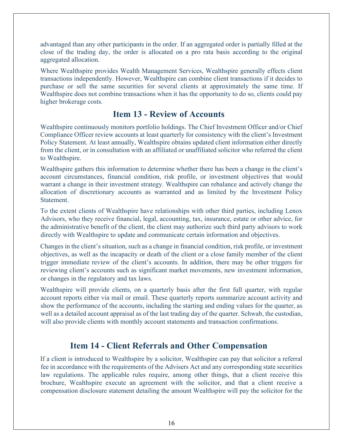advantaged than any other participants in the order. If an aggregated order is partially filled at the close of the trading day, the order is allocated on a pro rata basis according to the original aggregated allocation.

Where Wealthspire provides Wealth Management Services, Wealthspire generally effects client transactions independently. However, Wealthspire can combine client transactions if it decides to purchase or sell the same securities for several clients at approximately the same time. If Wealthspire does not combine transactions when it has the opportunity to do so, clients could pay higher brokerage costs.

## **Item 13 - Review of Accounts**

<span id="page-15-0"></span>Wealthspire continuously monitors portfolio holdings. The Chief Investment Officer and/or Chief Compliance Officer review accounts at least quarterly for consistency with the client's Investment Policy Statement. At least annually, Wealthspire obtains updated client information either directly from the client, or in consultation with an affiliated or unaffiliated solicitor who referred the client to Wealthspire.

Wealthspire gathers this information to determine whether there has been a change in the client's account circumstances, financial condition, risk profile, or investment objectives that would warrant a change in their investment strategy. Wealthspire can rebalance and actively change the allocation of discretionary accounts as warranted and as limited by the Investment Policy Statement.

To the extent clients of Wealthspire have relationships with other third parties, including Lenox Advisors, who they receive financial, legal, accounting, tax, insurance, estate or other advice, for the administrative benefit of the client, the client may authorize such third party advisors to work directly with Wealthspire to update and communicate certain information and objectives.

Changes in the client's situation, such as a change in financial condition, risk profile, or investment objectives, as well as the incapacity or death of the client or a close family member of the client trigger immediate review of the client's accounts. In addition, there may be other triggers for reviewing client's accounts such as significant market movements, new investment information, or changes in the regulatory and tax laws.

Wealthspire will provide clients, on a quarterly basis after the first full quarter, with regular account reports either via mail or email. These quarterly reports summarize account activity and show the performance of the accounts, including the starting and ending values for the quarter, as well as a detailed account appraisal as of the last trading day of the quarter. Schwab, the custodian, will also provide clients with monthly account statements and transaction confirmations.

# **Item 14 - Client Referrals and Other Compensation**

<span id="page-15-1"></span>If a client is introduced to Wealthspire by a solicitor, Wealthspire can pay that solicitor a referral fee in accordance with the requirements of the Advisers Act and any corresponding state securities law regulations. The applicable rules require, among other things, that a client receive this brochure, Wealthspire execute an agreement with the solicitor, and that a client receive a compensation disclosure statement detailing the amount Wealthspire will pay the solicitor for the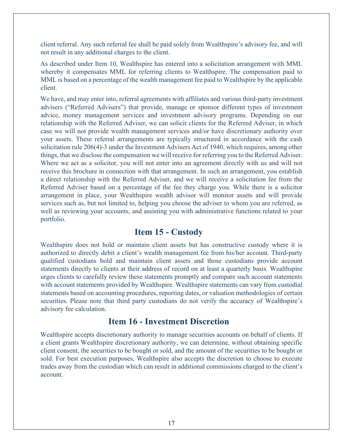client referral. Any such referral fee shall be paid solely from Wealthspire's advisory fee, and will not result in any additional charges to the client.

As described under Item 10, Wealthspire has entered into a solicitation arrangement with MML whereby it compensates MML for referring clients to Wealthspire. The compensation paid to MML is based on a percentage of the wealth management fee paid to Wealthspire by the applicable client.

We have, and may enter into, referral agreements with affiliates and various third-party investment advisers ("Referred Advisers") that provide, manage or sponsor different types of investment advice, money management services and investment advisory programs. Depending on our relationship with the Referred Adviser, we can solicit clients for the Referred Adviser, in which case we will not provide wealth management services and/or have discretionary authority over your assets. These referral arrangements are typically structured in accordance with the cash solicitation rule 206(4)-3 under the Investment Advisers Act of 1940, which requires, among other things, that we disclose the compensation we will receive for referring you to the Referred Adviser. Where we act as a solicitor, you will not enter into an agreement directly with us and will not receive this brochure in connection with that arrangement. In such an arrangement, you establish a direct relationship with the Referred Adviser, and we will receive a solicitation fee from the Referred Adviser based on a percentage of the fee they charge you. While there is a solicitor arrangement in place, your Wealthspire wealth advisor will monitor assets and will provide services such as, but not limited to, helping you choose the adviser to whom you are referred, as well as reviewing your accounts, and assisting you with administrative functions related to your portfolio.

### **Item 15 - Custody**

<span id="page-16-0"></span>Wealthspire does not hold or maintain client assets but has constructive custody where it is authorized to directly debit a client's wealth management fee from his/her account. Third-party qualified custodians hold and maintain client assets and those custodians provide account statements directly to clients at their address of record on at least a quarterly basis. Wealthspire urges clients to carefully review these statements promptly and compare such account statements with account statements provided by Wealthspire. Wealthspire statements can vary from custodial statements based on accounting procedures, reporting dates, or valuation methodologies of certain securities. Please note that third party custodians do not verify the accuracy of Wealthspire's advisory fee calculation.

### **Item 16 - Investment Discretion**

<span id="page-16-1"></span>Wealthspire accepts discretionary authority to manage securities accounts on behalf of clients. If a client grants Wealthspire discretionary authority, we can determine, without obtaining specific client consent, the securities to be bought or sold, and the amount of the securities to be bought or sold. For best execution purposes, Wealthspire also accepts the discretion to choose to execute trades away from the custodian which can result in additional commissions charged to the client's account.